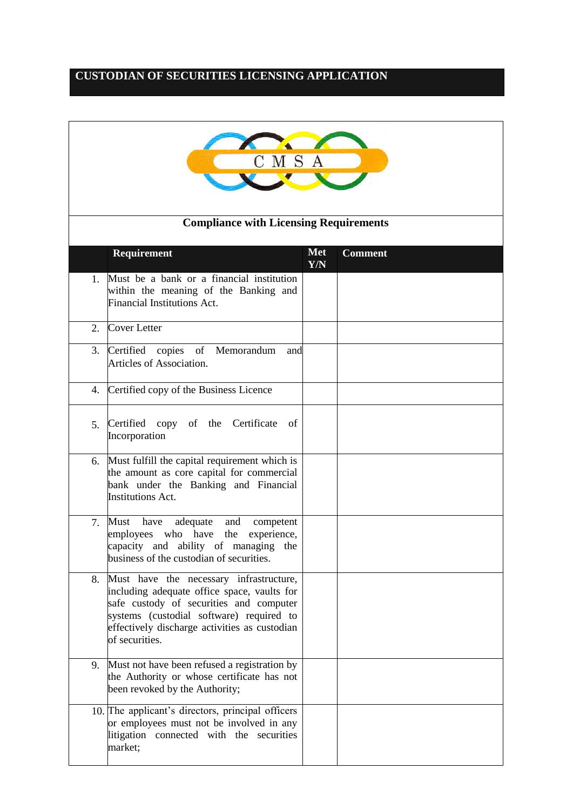## **CUSTODIAN OF SECURITIES LICENSING APPLICATION**

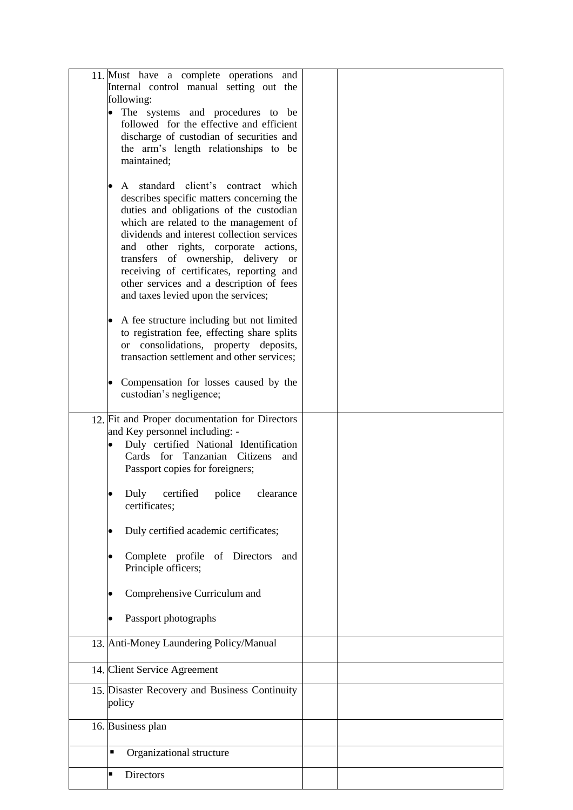| 11. Must have a complete operations and<br>Internal control manual setting out the       |  |
|------------------------------------------------------------------------------------------|--|
| following:                                                                               |  |
| The systems and procedures to be                                                         |  |
| followed for the effective and efficient<br>discharge of custodian of securities and     |  |
| the arm's length relationships to be                                                     |  |
| maintained;                                                                              |  |
| A standard client's contract which                                                       |  |
| describes specific matters concerning the                                                |  |
| duties and obligations of the custodian                                                  |  |
| which are related to the management of<br>dividends and interest collection services     |  |
| and other rights, corporate actions,                                                     |  |
| transfers of ownership, delivery or                                                      |  |
| receiving of certificates, reporting and<br>other services and a description of fees     |  |
| and taxes levied upon the services;                                                      |  |
|                                                                                          |  |
| A fee structure including but not limited<br>to registration fee, effecting share splits |  |
| or consolidations, property deposits,                                                    |  |
| transaction settlement and other services;                                               |  |
| Compensation for losses caused by the                                                    |  |
| custodian's negligence;                                                                  |  |
| 12. Fit and Proper documentation for Directors                                           |  |
| and Key personnel including: -                                                           |  |
| Duly certified National Identification                                                   |  |
| Cards for Tanzanian Citizens<br>and<br>Passport copies for foreigners;                   |  |
|                                                                                          |  |
| Duly certified police clearance                                                          |  |
| certificates;                                                                            |  |
| Duly certified academic certificates;                                                    |  |
| Complete profile of Directors<br>and                                                     |  |
| Principle officers;                                                                      |  |
|                                                                                          |  |
| Comprehensive Curriculum and                                                             |  |
| Passport photographs                                                                     |  |
| 13. Anti-Money Laundering Policy/Manual                                                  |  |
|                                                                                          |  |
| 14. Client Service Agreement                                                             |  |
| 15. Disaster Recovery and Business Continuity                                            |  |
| policy                                                                                   |  |
| 16. Business plan                                                                        |  |
|                                                                                          |  |
| Organizational structure<br>٠                                                            |  |
| Directors<br>п                                                                           |  |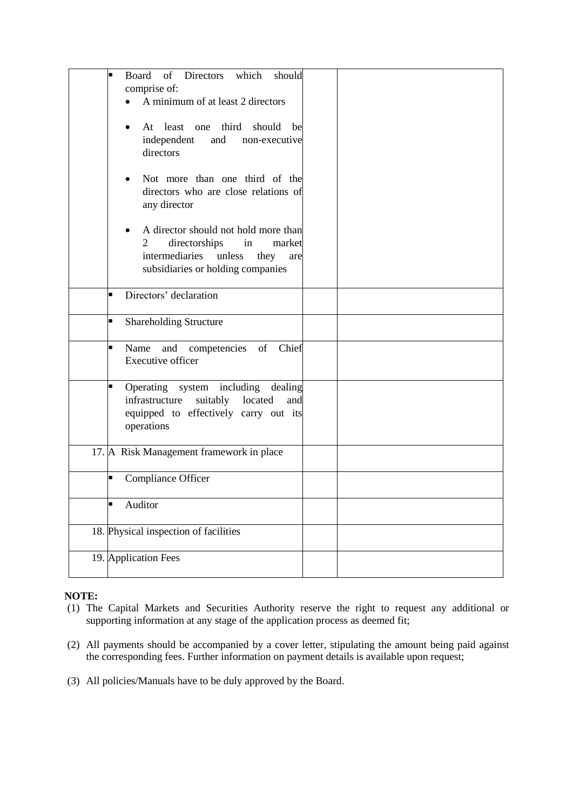| of Directors<br>which<br>should<br>Board<br>п |  |
|-----------------------------------------------|--|
|                                               |  |
| comprise of:                                  |  |
| A minimum of at least 2 directors             |  |
|                                               |  |
| At least one third<br>should be               |  |
| independent<br>and<br>non-executive           |  |
| directors                                     |  |
|                                               |  |
| Not more than one third of the                |  |
| directors who are close relations of          |  |
| any director                                  |  |
|                                               |  |
| A director should not hold more than<br>٠     |  |
| 2<br>directorships<br>market<br>in            |  |
| intermediaries<br>unless                      |  |
| they<br>are                                   |  |
| subsidiaries or holding companies             |  |
|                                               |  |
| Directors' declaration<br>п                   |  |
|                                               |  |
| <b>Shareholding Structure</b><br>Е            |  |
|                                               |  |
| Name and competencies of Chief<br>ш           |  |
| Executive officer                             |  |
|                                               |  |
| Operating system including dealing<br>П       |  |
| infrastructure<br>suitably<br>located<br>and  |  |
| equipped to effectively carry out its         |  |
| operations                                    |  |
|                                               |  |
| 17. A Risk Management framework in place      |  |
|                                               |  |
| Compliance Officer<br>П                       |  |
|                                               |  |
| Auditor<br>п                                  |  |
|                                               |  |
|                                               |  |
| 18. Physical inspection of facilities         |  |
|                                               |  |
| 19. Application Fees                          |  |
|                                               |  |

## **NOTE:**

- (1) The Capital Markets and Securities Authority reserve the right to request any additional or supporting information at any stage of the application process as deemed fit;
- (2) All payments should be accompanied by a cover letter, stipulating the amount being paid against the corresponding fees. Further information on payment details is available upon request;
- (3) All policies/Manuals have to be duly approved by the Board.